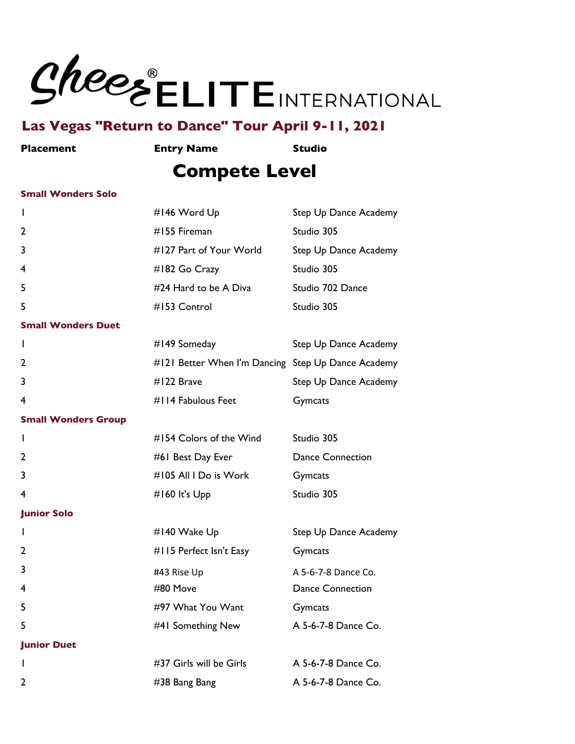

**Placement Entry Name Studio**

## **Compete Level**

#### **Small Wonders Solo**

| I.                         | #146 Word Up                                       | Step Up Dance Academy   |
|----------------------------|----------------------------------------------------|-------------------------|
| 2                          | #155 Fireman                                       | Studio 305              |
| 3                          | #127 Part of Your World                            | Step Up Dance Academy   |
| 4                          | #182 Go Crazy                                      | Studio 305              |
| 5                          | #24 Hard to be A Diva                              | Studio 702 Dance        |
| 5                          | #153 Control                                       | Studio 305              |
| <b>Small Wonders Duet</b>  |                                                    |                         |
| I.                         | #149 Someday                                       | Step Up Dance Academy   |
| 2                          | #121 Better When I'm Dancing Step Up Dance Academy |                         |
| 3                          | #122 Brave                                         | Step Up Dance Academy   |
| 4                          | #114 Fabulous Feet                                 | Gymcats                 |
| <b>Small Wonders Group</b> |                                                    |                         |
| I.                         | #154 Colors of the Wind                            | Studio 305              |
| 2                          | #61 Best Day Ever                                  | <b>Dance Connection</b> |
| 3                          | #105 All I Do is Work                              | Gymcats                 |
| 4                          | #160 It's $Upp$                                    | Studio 305              |
| <b>Junior Solo</b>         |                                                    |                         |
| $\mathbf{I}$               | #140 Wake Up                                       | Step Up Dance Academy   |
| 2                          | #115 Perfect Isn't Easy                            | Gymcats                 |
| 3                          | #43 Rise Up                                        | A 5-6-7-8 Dance Co.     |
| 4                          | #80 Move                                           | <b>Dance Connection</b> |
| 5                          | #97 What You Want                                  | Gymcats                 |
| 5                          | #41 Something New                                  | A 5-6-7-8 Dance Co.     |
| <b>Junior Duet</b>         |                                                    |                         |
| L                          | #37 Girls will be Girls                            | A 5-6-7-8 Dance Co.     |
| 2                          | #38 Bang Bang                                      | A 5-6-7-8 Dance Co.     |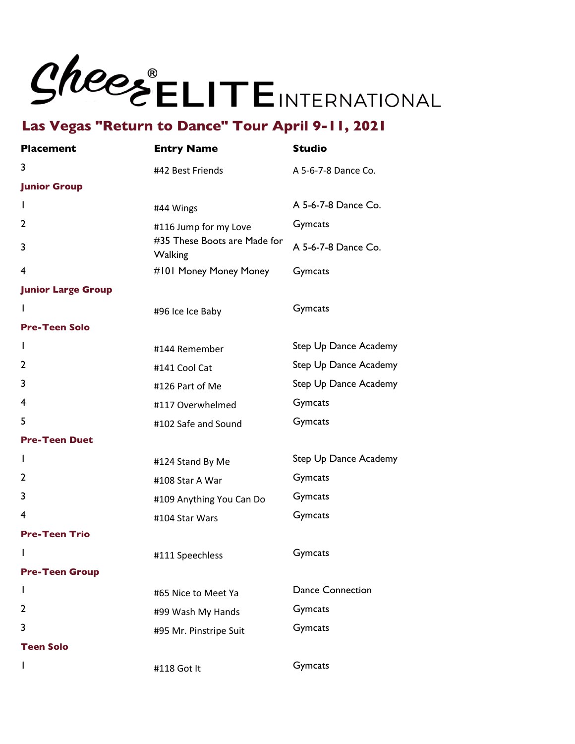

| <b>Placement</b>          | <b>Entry Name</b>                              | <b>Studio</b>           |
|---------------------------|------------------------------------------------|-------------------------|
| 3                         | #42 Best Friends                               | A 5-6-7-8 Dance Co.     |
| <b>Junior Group</b>       |                                                |                         |
| I.                        | #44 Wings                                      | A 5-6-7-8 Dance Co.     |
| 2                         | #116 Jump for my Love                          | Gymcats                 |
| 3                         | #35 These Boots are Made for<br><b>Walking</b> | A 5-6-7-8 Dance Co.     |
| 4                         | #101 Money Money Money                         | Gymcats                 |
| <b>Junior Large Group</b> |                                                |                         |
| L                         | #96 Ice Ice Baby                               | Gymcats                 |
| <b>Pre-Teen Solo</b>      |                                                |                         |
| T                         | #144 Remember                                  | Step Up Dance Academy   |
| 2                         | #141 Cool Cat                                  | Step Up Dance Academy   |
| 3                         | #126 Part of Me                                | Step Up Dance Academy   |
| 4                         | #117 Overwhelmed                               | Gymcats                 |
| 5                         | #102 Safe and Sound                            | Gymcats                 |
| <b>Pre-Teen Duet</b>      |                                                |                         |
| I.                        | #124 Stand By Me                               | Step Up Dance Academy   |
| 2                         | #108 Star A War                                | Gymcats                 |
| 3                         | #109 Anything You Can Do                       | Gymcats                 |
| 4                         | #104 Star Wars                                 | Gymcats                 |
| <b>Pre-Teen Trio</b>      |                                                |                         |
| I                         | #111 Speechless                                | Gymcats                 |
| <b>Pre-Teen Group</b>     |                                                |                         |
| I.                        | #65 Nice to Meet Ya                            | <b>Dance Connection</b> |
| 2                         | #99 Wash My Hands                              | Gymcats                 |
| 3                         | #95 Mr. Pinstripe Suit                         | <b>Gymcats</b>          |
| <b>Teen Solo</b>          |                                                |                         |
| L                         | #118 Got It                                    | Gymcats                 |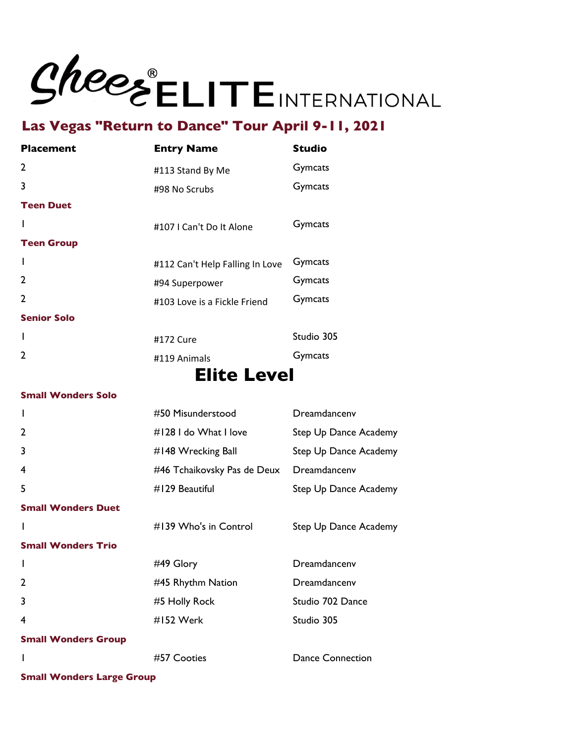

| <b>Entry Name</b>               | <b>Studio</b> |
|---------------------------------|---------------|
| #113 Stand By Me                | Gymcats       |
| #98 No Scrubs                   | Gymcats       |
|                                 |               |
| #107   Can't Do It Alone        | Gymcats       |
|                                 |               |
| #112 Can't Help Falling In Love | Gymcats       |
| #94 Superpower                  | Gymcats       |
| #103 Love is a Fickle Friend    | Gymcats       |
|                                 |               |
| #172 Cure                       | Studio 305    |
| #119 Animals                    | Gymcats       |
|                                 |               |

## **Elite Level**

#### **Small Wonders Solo**

| I                          | #50 Misunderstood           | Dreamdancenv            |
|----------------------------|-----------------------------|-------------------------|
| $\overline{2}$             | #128 I do What I love       | Step Up Dance Academy   |
| 3                          | $\#$ 148 Wrecking Ball      | Step Up Dance Academy   |
| 4                          | #46 Tchaikovsky Pas de Deux | Dreamdancenv            |
| 5                          | $#129$ Beautiful            | Step Up Dance Academy   |
| <b>Small Wonders Duet</b>  |                             |                         |
| I                          | $\#$ 139 Who's in Control   | Step Up Dance Academy   |
| <b>Small Wonders Trio</b>  |                             |                         |
|                            |                             |                         |
| I                          | #49 Glory                   | Dreamdancenv            |
| $\overline{2}$             | #45 Rhythm Nation           | Dreamdancenv            |
| 3                          | #5 Holly Rock               | Studio 702 Dance        |
| 4                          | #152 Werk                   | Studio 305              |
| <b>Small Wonders Group</b> |                             |                         |
|                            | #57 Cooties                 | <b>Dance Connection</b> |

**Small Wonders Large Group**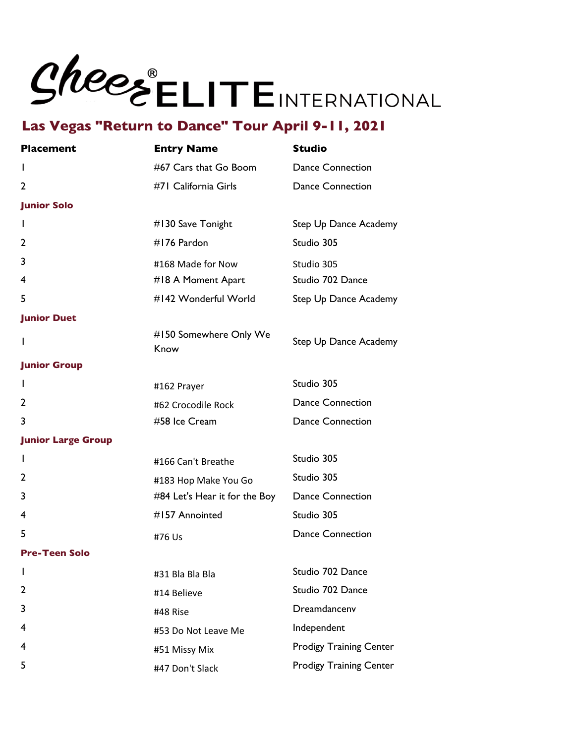# Shees ELITEINTERNATIONAL

## **Las Vegas "Return to Dance" Tour April 9-11, 2021**

| <b>Placement</b>          | <b>Entry Name</b>              | <b>Studio</b>                  |
|---------------------------|--------------------------------|--------------------------------|
| I.                        | #67 Cars that Go Boom          | <b>Dance Connection</b>        |
| 2                         | #71 California Girls           | <b>Dance Connection</b>        |
| <b>Junior Solo</b>        |                                |                                |
| L                         | #130 Save Tonight              | Step Up Dance Academy          |
| 2                         | #176 Pardon                    | Studio 305                     |
| 3                         | #168 Made for Now              | Studio 305                     |
| 4                         | #18 A Moment Apart             | Studio 702 Dance               |
| 5                         | #142 Wonderful World           | Step Up Dance Academy          |
| <b>Junior Duet</b>        |                                |                                |
| L                         | #150 Somewhere Only We<br>Know | Step Up Dance Academy          |
| <b>Junior Group</b>       |                                |                                |
| L                         | #162 Prayer                    | Studio 305                     |
| 2                         | #62 Crocodile Rock             | <b>Dance Connection</b>        |
| 3                         | #58 Ice Cream                  | <b>Dance Connection</b>        |
| <b>Junior Large Group</b> |                                |                                |
| L                         | #166 Can't Breathe             | Studio 305                     |
| 2                         | #183 Hop Make You Go           | Studio 305                     |
| 3                         | #84 Let's Hear it for the Boy  | <b>Dance Connection</b>        |
| 4                         | #157 Annointed                 | Studio 305                     |
| 5                         | #76 Us                         | <b>Dance Connection</b>        |
| <b>Pre-Teen Solo</b>      |                                |                                |
| ı                         | #31 Bla Bla Bla                | Studio 702 Dance               |
| 2                         | #14 Believe                    | Studio 702 Dance               |
| 3                         | #48 Rise                       | Dreamdancenv                   |
| 4                         | #53 Do Not Leave Me            | Independent                    |
| 4                         | #51 Missy Mix                  | <b>Prodigy Training Center</b> |
| 5                         | #47 Don't Slack                | <b>Prodigy Training Center</b> |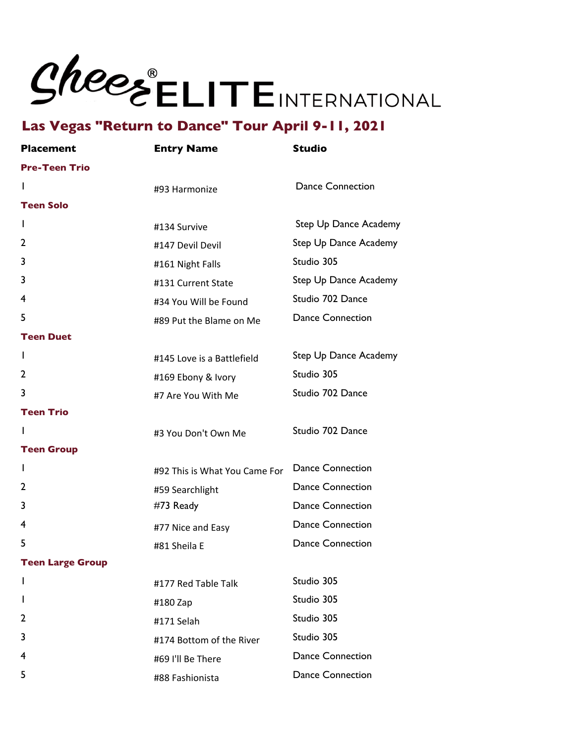# Shees ELITEINTERNATIONAL

## **Las Vegas "Return to Dance" Tour April 9-11, 2021**

| <b>Placement</b>        | <b>Entry Name</b>             | <b>Studio</b>           |
|-------------------------|-------------------------------|-------------------------|
| <b>Pre-Teen Trio</b>    |                               |                         |
| I.                      | #93 Harmonize                 | <b>Dance Connection</b> |
| <b>Teen Solo</b>        |                               |                         |
| I.                      | #134 Survive                  | Step Up Dance Academy   |
| 2                       | #147 Devil Devil              | Step Up Dance Academy   |
| 3                       | #161 Night Falls              | Studio 305              |
| 3                       | #131 Current State            | Step Up Dance Academy   |
| 4                       | #34 You Will be Found         | Studio 702 Dance        |
| 5                       | #89 Put the Blame on Me       | <b>Dance Connection</b> |
| <b>Teen Duet</b>        |                               |                         |
| T                       | #145 Love is a Battlefield    | Step Up Dance Academy   |
| $\overline{2}$          | #169 Ebony & Ivory            | Studio 305              |
| 3                       | #7 Are You With Me            | Studio 702 Dance        |
| <b>Teen Trio</b>        |                               |                         |
| L                       | #3 You Don't Own Me           | Studio 702 Dance        |
| <b>Teen Group</b>       |                               |                         |
| I.                      | #92 This is What You Came For | <b>Dance Connection</b> |
| 2                       | #59 Searchlight               | <b>Dance Connection</b> |
| 3                       | #73 Ready                     | <b>Dance Connection</b> |
| 4                       | #77 Nice and Easy             | <b>Dance Connection</b> |
| 5                       | #81 Sheila E                  | <b>Dance Connection</b> |
| <b>Teen Large Group</b> |                               |                         |
| I.                      | #177 Red Table Talk           | Studio 305              |
| I                       | #180 Zap                      | Studio 305              |
| 2                       | #171 Selah                    | Studio 305              |
| 3                       | #174 Bottom of the River      | Studio 305              |
| 4                       | #69 I'll Be There             | <b>Dance Connection</b> |
| 5                       | #88 Fashionista               | <b>Dance Connection</b> |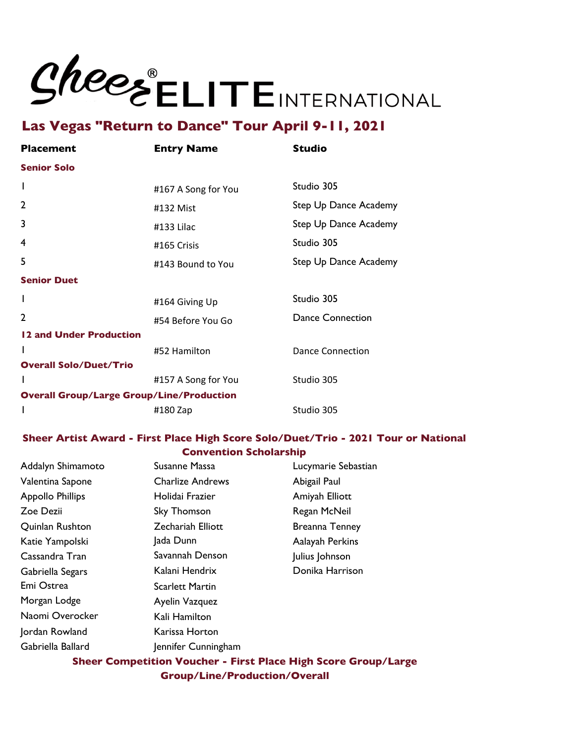

| <b>Placement</b>                                 | <b>Entry Name</b>   | <b>Studio</b>           |
|--------------------------------------------------|---------------------|-------------------------|
| <b>Senior Solo</b>                               |                     |                         |
| I                                                | #167 A Song for You | Studio 305              |
| $\mathbf{2}$                                     | #132 Mist           | Step Up Dance Academy   |
| 3                                                | #133 Lilac          | Step Up Dance Academy   |
| 4                                                | #165 Crisis         | Studio 305              |
| 5                                                | #143 Bound to You   | Step Up Dance Academy   |
| <b>Senior Duet</b>                               |                     |                         |
| I                                                | #164 Giving Up      | Studio 305              |
| $\mathbf{c}$                                     | #54 Before You Go   | <b>Dance Connection</b> |
| 12 and Under Production                          |                     |                         |
| I                                                | #52 Hamilton        | Dance Connection        |
| <b>Overall Solo/Duet/Trio</b>                    |                     |                         |
| I                                                | #157 A Song for You | Studio 305              |
| <b>Overall Group/Large Group/Line/Production</b> |                     |                         |
| I                                                | #180 Zap            | Studio 305              |

### **Sheer Artist Award - First Place High Score Solo/Duet/Trio - 2021 Tour or National Convention Scholarship**

| Addalyn Shimamoto       | Susanne Massa            | Lucymarie Sebastian   |
|-------------------------|--------------------------|-----------------------|
| Valentina Sapone        | <b>Charlize Andrews</b>  | Abigail Paul          |
| <b>Appollo Phillips</b> | Holidai Frazier          | Amiyah Elliott        |
| Zoe Dezii               | Sky Thomson              | Regan McNeil          |
| Quinlan Rushton         | <b>Zechariah Elliott</b> | <b>Breanna Tenney</b> |
| Katie Yampolski         | Jada Dunn                | Aalayah Perkins       |
| Cassandra Tran          | Savannah Denson          | Julius Johnson        |
| Gabriella Segars        | Kalani Hendrix           | Donika Harrison       |
| Emi Ostrea              | <b>Scarlett Martin</b>   |                       |
| Morgan Lodge            | Ayelin Vazquez           |                       |
| Naomi Overocker         | Kali Hamilton            |                       |
| Jordan Rowland          | Karissa Horton           |                       |
| Gabriella Ballard       | Jennifer Cunningham      |                       |

**Sheer Competition Voucher - First Place High Score Group/Large Group/Line/Production/Overall**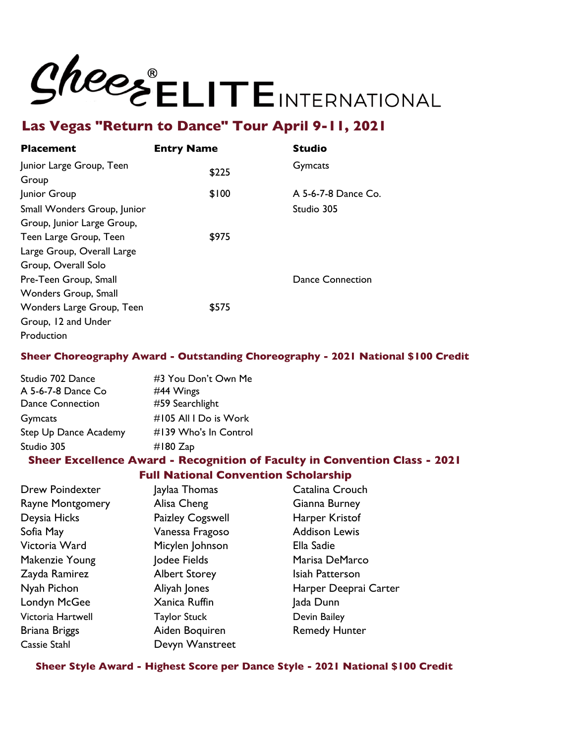## Shees ELITEINTERNATIONAL

## **Las Vegas "Return to Dance" Tour April 9-11, 2021**

| Placement                   | <b>Entry Name</b> | <b>Studio</b>       |
|-----------------------------|-------------------|---------------------|
| Junior Large Group, Teen    | \$225             | Gymcats             |
| Group                       |                   |                     |
| Junior Group                | \$100             | A 5-6-7-8 Dance Co. |
| Small Wonders Group, Junior |                   | Studio 305          |
| Group, Junior Large Group,  |                   |                     |
| Teen Large Group, Teen      | \$975             |                     |
| Large Group, Overall Large  |                   |                     |
| Group, Overall Solo         |                   |                     |
| Pre-Teen Group, Small       |                   | Dance Connection    |
| Wonders Group, Small        |                   |                     |
| Wonders Large Group, Teen   | \$575             |                     |
| Group, 12 and Under         |                   |                     |
| Production                  |                   |                     |

### **Sheer Choreography Award - Outstanding Choreography - 2021 National \$100 Credit**

| Studio 702 Dance        | #3 You Don't Own Me   |
|-------------------------|-----------------------|
| A 5-6-7-8 Dance Co      | #44 Wings             |
| <b>Dance Connection</b> | #59 Searchlight       |
| Gymcats                 | #105 All I Do is Work |
| Step Up Dance Academy   | #139 Who's In Control |
| Studio 305              | $\#$ 180 Zap          |
|                         |                       |

### **Sheer Excellence Award - Recognition of Faculty in Convention Class - 2021 Full National Convention Scholarship**

| <b>Drew Poindexter</b>  | Jaylaa Thomas        | Catalina Crouch       |
|-------------------------|----------------------|-----------------------|
| <b>Rayne Montgomery</b> | Alisa Cheng          | Gianna Burney         |
| Deysia Hicks            | Paizley Cogswell     | Harper Kristof        |
| Sofia May               | Vanessa Fragoso      | <b>Addison Lewis</b>  |
| Victoria Ward           | Micylen Johnson      | Ella Sadie            |
| Makenzie Young          | Jodee Fields         | Marisa DeMarco        |
| Zayda Ramirez           | <b>Albert Storey</b> | Isiah Patterson       |
| Nyah Pichon             | Aliyah Jones         | Harper Deeprai Carter |
| Londyn McGee            | Xanica Ruffin        | Jada Dunn             |
| Victoria Hartwell       | <b>Taylor Stuck</b>  | Devin Bailey          |
| Briana Briggs           | Aiden Boquiren       | <b>Remedy Hunter</b>  |
| Cassie Stahl            | Devyn Wanstreet      |                       |

**Sheer Style Award - Highest Score per Dance Style - 2021 National \$100 Credit**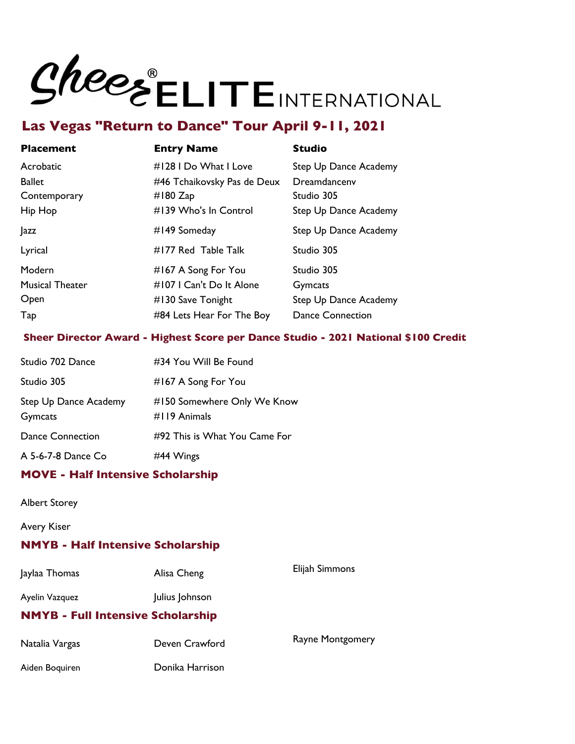

| <b>Placement</b>       | <b>Entry Name</b>           | <b>Studio</b>           |
|------------------------|-----------------------------|-------------------------|
| Acrobatic              | #128 I Do What I Love       | Step Up Dance Academy   |
| Ballet                 | #46 Tchaikovsky Pas de Deux | Dreamdancenv            |
| Contemporary           | #180 $Zap$                  | Studio 305              |
| Hip Hop                | #139 Who's In Control       | Step Up Dance Academy   |
| azz                    | #149 Someday                | Step Up Dance Academy   |
| Lyrical                | #177 Red Table Talk         | Studio 305              |
| Modern                 | #167 A Song For You         | Studio 305              |
| <b>Musical Theater</b> | #107   Can't Do It Alone    | Gymcats                 |
| Open                   | $\#$ 130 Save Tonight       | Step Up Dance Academy   |
| Tap                    | #84 Lets Hear For The Boy   | <b>Dance Connection</b> |
|                        |                             |                         |

### **Sheer Director Award - Highest Score per Dance Studio - 2021 National \$100 Credit**

| Studio 702 Dance                 | #34 You Will Be Found                            |
|----------------------------------|--------------------------------------------------|
| Studio 305                       | #167 A Song For You                              |
| Step Up Dance Academy<br>Gymcats | #150 Somewhere Only We Know<br>$\#$ I 19 Animals |
| <b>Dance Connection</b>          | #92 This is What You Came For                    |
| A 5-6-7-8 Dance Co               | #44 Wings                                        |

### **MOVE - Half Intensive Scholarship**

Albert Storey

Avery Kiser

### **NMYB - Half Intensive Scholarship**

| Jaylaa Thomas  | Alisa Cheng                              | Elijah Simmons   |
|----------------|------------------------------------------|------------------|
| Ayelin Vazquez | Julius Johnson                           |                  |
|                | <b>NMYB - Full Intensive Scholarship</b> |                  |
| Natalia Vargas | Deven Crawford                           | Rayne Montgomery |
| Aiden Boquiren | Donika Harrison                          |                  |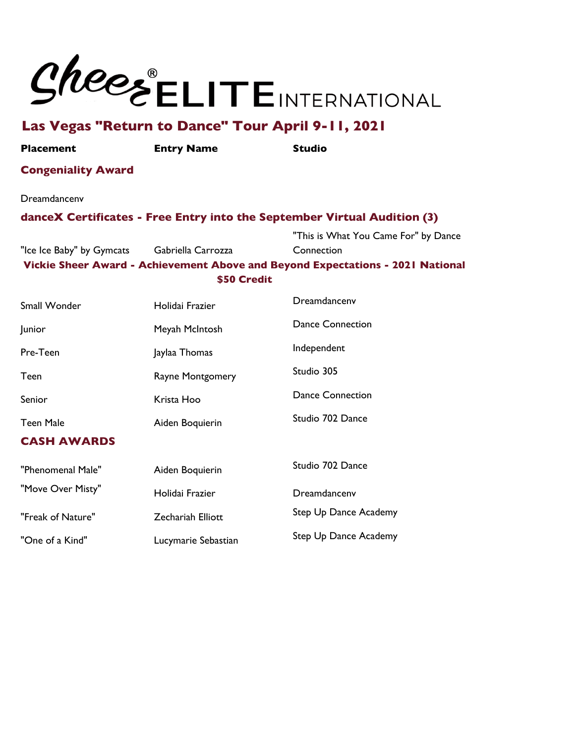

**Placement Entry Name Studio**

### **Congeniality Award**

Dreamdancenv

### **danceX Certificates - Free Entry into the September Virtual Audition (3)**

"Ice Ice Baby" by Gymcats Gabriella Carrozza "This is What You Came For" by Dance **Connection Vickie Sheer Award - Achievement Above and Beyond Expectations - 2021 National \$50 Credit**

| Holidai Frazier          | Dreamdancenv                 |
|--------------------------|------------------------------|
| Meyah McIntosh           | <b>Dance Connection</b>      |
| Jaylaa Thomas            | Independent                  |
| Rayne Montgomery         | Studio 305                   |
| Krista Hoo               | <b>Dance Connection</b>      |
| Aiden Boquierin          | Studio 702 Dance             |
|                          |                              |
| Aiden Boquierin          | Studio 702 Dance             |
| Holidai Frazier          | Dreamdancenv                 |
| <b>Zechariah Elliott</b> | <b>Step Up Dance Academy</b> |
| Lucymarie Sebastian      | Step Up Dance Academy        |
|                          |                              |